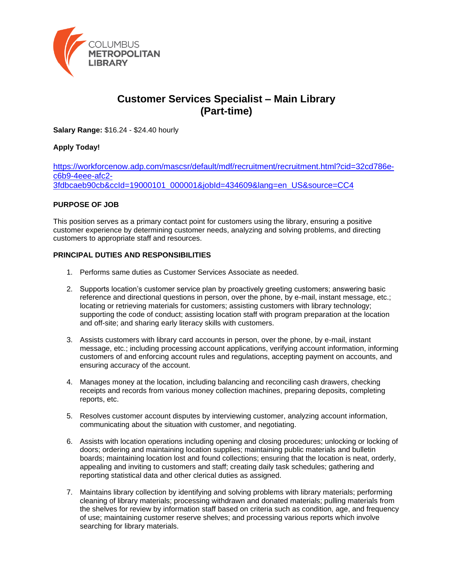

# **Customer Services Specialist – Main Library (Part-time)**

**Salary Range:** \$16.24 - \$24.40 hourly

## **Apply Today!**

[https://workforcenow.adp.com/mascsr/default/mdf/recruitment/recruitment.html?cid=32cd786e](https://workforcenow.adp.com/mascsr/default/mdf/recruitment/recruitment.html?cid=32cd786e-c6b9-4eee-afc2-3fdbcaeb90cb&ccId=19000101_000001&jobId=434609&lang=en_US&source=CC4)[c6b9-4eee-afc2-](https://workforcenow.adp.com/mascsr/default/mdf/recruitment/recruitment.html?cid=32cd786e-c6b9-4eee-afc2-3fdbcaeb90cb&ccId=19000101_000001&jobId=434609&lang=en_US&source=CC4) [3fdbcaeb90cb&ccId=19000101\\_000001&jobId=434609&lang=en\\_US&source=CC4](https://workforcenow.adp.com/mascsr/default/mdf/recruitment/recruitment.html?cid=32cd786e-c6b9-4eee-afc2-3fdbcaeb90cb&ccId=19000101_000001&jobId=434609&lang=en_US&source=CC4)

## **PURPOSE OF JOB**

This position serves as a primary contact point for customers using the library, ensuring a positive customer experience by determining customer needs, analyzing and solving problems, and directing customers to appropriate staff and resources.

#### **PRINCIPAL DUTIES AND RESPONSIBILITIES**

- 1. Performs same duties as Customer Services Associate as needed.
- 2. Supports location's customer service plan by proactively greeting customers; answering basic reference and directional questions in person, over the phone, by e-mail, instant message, etc.; locating or retrieving materials for customers; assisting customers with library technology; supporting the code of conduct; assisting location staff with program preparation at the location and off-site; and sharing early literacy skills with customers.
- 3. Assists customers with library card accounts in person, over the phone, by e-mail, instant message, etc.; including processing account applications, verifying account information, informing customers of and enforcing account rules and regulations, accepting payment on accounts, and ensuring accuracy of the account.
- 4. Manages money at the location, including balancing and reconciling cash drawers, checking receipts and records from various money collection machines, preparing deposits, completing reports, etc.
- 5. Resolves customer account disputes by interviewing customer, analyzing account information, communicating about the situation with customer, and negotiating.
- 6. Assists with location operations including opening and closing procedures; unlocking or locking of doors; ordering and maintaining location supplies; maintaining public materials and bulletin boards; maintaining location lost and found collections; ensuring that the location is neat, orderly, appealing and inviting to customers and staff; creating daily task schedules; gathering and reporting statistical data and other clerical duties as assigned.
- 7. Maintains library collection by identifying and solving problems with library materials; performing cleaning of library materials; processing withdrawn and donated materials; pulling materials from the shelves for review by information staff based on criteria such as condition, age, and frequency of use; maintaining customer reserve shelves; and processing various reports which involve searching for library materials.